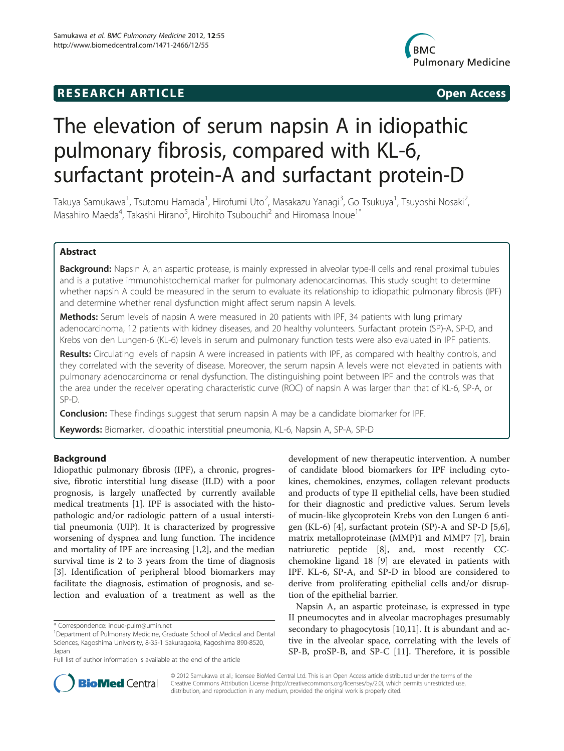# **RESEARCH ARTICLE Example 2018 CONSIDERING CONSIDERING CONSIDERING CONSIDERING CONSIDERING CONSIDERING CONSIDERING CONSIDERING CONSIDERING CONSIDERING CONSIDERING CONSIDERING CONSIDERING CONSIDERING CONSIDERING CONSIDE**



# The elevation of serum napsin A in idiopathic pulmonary fibrosis, compared with KL-6, surfactant protein-A and surfactant protein-D

Takuya Samukawa<sup>1</sup>, Tsutomu Hamada<sup>1</sup>, Hirofumi Uto<sup>2</sup>, Masakazu Yanagi<sup>3</sup>, Go Tsukuya<sup>1</sup>, Tsuyoshi Nosaki<sup>2</sup> , Masahiro Maeda<sup>4</sup>, Takashi Hirano<sup>5</sup>, Hirohito Tsubouchi<sup>2</sup> and Hiromasa Inoue<sup>1\*</sup>

# Abstract

Background: Napsin A, an aspartic protease, is mainly expressed in alveolar type-II cells and renal proximal tubules and is a putative immunohistochemical marker for pulmonary adenocarcinomas. This study sought to determine whether napsin A could be measured in the serum to evaluate its relationship to idiopathic pulmonary fibrosis (IPF) and determine whether renal dysfunction might affect serum napsin A levels.

Methods: Serum levels of napsin A were measured in 20 patients with IPF, 34 patients with lung primary adenocarcinoma, 12 patients with kidney diseases, and 20 healthy volunteers. Surfactant protein (SP)-A, SP-D, and Krebs von den Lungen-6 (KL-6) levels in serum and pulmonary function tests were also evaluated in IPF patients.

Results: Circulating levels of napsin A were increased in patients with IPF, as compared with healthy controls, and they correlated with the severity of disease. Moreover, the serum napsin A levels were not elevated in patients with pulmonary adenocarcinoma or renal dysfunction. The distinguishing point between IPF and the controls was that the area under the receiver operating characteristic curve (ROC) of napsin A was larger than that of KL-6, SP-A, or SP-D.

**Conclusion:** These findings suggest that serum napsin A may be a candidate biomarker for IPF.

Keywords: Biomarker, Idiopathic interstitial pneumonia, KL-6, Napsin A, SP-A, SP-D

# Background

Idiopathic pulmonary fibrosis (IPF), a chronic, progressive, fibrotic interstitial lung disease (ILD) with a poor prognosis, is largely unaffected by currently available medical treatments [[1\]](#page-5-0). IPF is associated with the histopathologic and/or radiologic pattern of a usual interstitial pneumonia (UIP). It is characterized by progressive worsening of dyspnea and lung function. The incidence and mortality of IPF are increasing [\[1,2\]](#page-5-0), and the median survival time is 2 to 3 years from the time of diagnosis [[3\]](#page-5-0). Identification of peripheral blood biomarkers may facilitate the diagnosis, estimation of prognosis, and selection and evaluation of a treatment as well as the

development of new therapeutic intervention. A number of candidate blood biomarkers for IPF including cytokines, chemokines, enzymes, collagen relevant products and products of type II epithelial cells, have been studied for their diagnostic and predictive values. Serum levels of mucin-like glycoprotein Krebs von den Lungen 6 antigen (KL-6) [[4](#page-5-0)], surfactant protein (SP)-A and SP-D [\[5,6](#page-5-0)], matrix metalloproteinase (MMP)1 and MMP7 [[7\]](#page-5-0), brain natriuretic peptide [\[8\]](#page-5-0), and, most recently CCchemokine ligand 18 [\[9\]](#page-5-0) are elevated in patients with IPF. KL-6, SP-A, and SP-D in blood are considered to derive from proliferating epithelial cells and/or disruption of the epithelial barrier.

Napsin A, an aspartic proteinase, is expressed in type II pneumocytes and in alveolar macrophages presumably secondary to phagocytosis [[10,11\]](#page-6-0). It is abundant and active in the alveolar space, correlating with the levels of SP-B, proSP-B, and SP-C [[11\]](#page-6-0). Therefore, it is possible



© 2012 Samukawa et al.; licensee BioMed Central Ltd. This is an Open Access article distributed under the terms of the Creative Commons Attribution License (<http://creativecommons.org/licenses/by/2.0>), which permits unrestricted use, distribution, and reproduction in any medium, provided the original work is properly cited.

<sup>\*</sup> Correspondence: [inoue-pulm@umin.net](mailto:inoue--ulm@umin.net) <sup>1</sup>

Department of Pulmonary Medicine, Graduate School of Medical and Dental Sciences, Kagoshima University, 8-35-1 Sakuragaoka, Kagoshima 890-8520, Japan

Full list of author information is available at the end of the article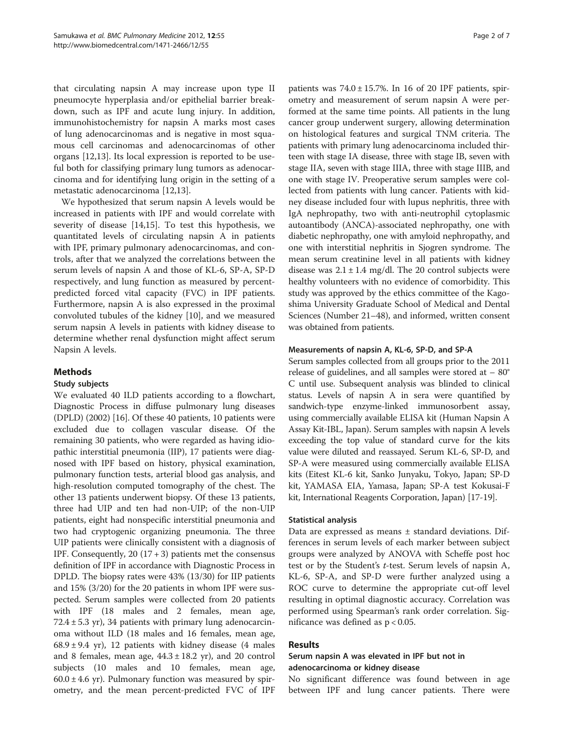that circulating napsin A may increase upon type II pneumocyte hyperplasia and/or epithelial barrier breakdown, such as IPF and acute lung injury. In addition, immunohistochemistry for napsin A marks most cases of lung adenocarcinomas and is negative in most squamous cell carcinomas and adenocarcinomas of other organs [\[12,13\]](#page-6-0). Its local expression is reported to be useful both for classifying primary lung tumors as adenocarcinoma and for identifying lung origin in the setting of a metastatic adenocarcinoma [[12](#page-6-0),[13](#page-6-0)].

We hypothesized that serum napsin A levels would be increased in patients with IPF and would correlate with severity of disease [[14,15\]](#page-6-0). To test this hypothesis, we quantitated levels of circulating napsin A in patients with IPF, primary pulmonary adenocarcinomas, and controls, after that we analyzed the correlations between the serum levels of napsin A and those of KL-6, SP-A, SP-D respectively, and lung function as measured by percentpredicted forced vital capacity (FVC) in IPF patients. Furthermore, napsin A is also expressed in the proximal convoluted tubules of the kidney [\[10](#page-6-0)], and we measured serum napsin A levels in patients with kidney disease to determine whether renal dysfunction might affect serum Napsin A levels.

# Methods

# Study subjects

We evaluated 40 ILD patients according to a flowchart, Diagnostic Process in diffuse pulmonary lung diseases (DPLD) (2002) [\[16\]](#page-6-0). Of these 40 patients, 10 patients were excluded due to collagen vascular disease. Of the remaining 30 patients, who were regarded as having idiopathic interstitial pneumonia (IIP), 17 patients were diagnosed with IPF based on history, physical examination, pulmonary function tests, arterial blood gas analysis, and high-resolution computed tomography of the chest. The other 13 patients underwent biopsy. Of these 13 patients, three had UIP and ten had non-UIP; of the non-UIP patients, eight had nonspecific interstitial pneumonia and two had cryptogenic organizing pneumonia. The three UIP patients were clinically consistent with a diagnosis of IPF. Consequently,  $20(17+3)$  patients met the consensus definition of IPF in accordance with Diagnostic Process in DPLD. The biopsy rates were 43% (13/30) for IIP patients and 15% (3/20) for the 20 patients in whom IPF were suspected. Serum samples were collected from 20 patients with IPF (18 males and 2 females, mean age,  $72.4 \pm 5.3$  yr), 34 patients with primary lung adenocarcinoma without ILD (18 males and 16 females, mean age,  $68.9 \pm 9.4$  yr), 12 patients with kidney disease (4 males and 8 females, mean age,  $44.3 \pm 18.2$  yr), and 20 control subjects (10 males and 10 females, mean age,  $60.0 \pm 4.6$  yr). Pulmonary function was measured by spirometry, and the mean percent-predicted FVC of IPF

patients was  $74.0 \pm 15.7$ %. In 16 of 20 IPF patients, spirometry and measurement of serum napsin A were performed at the same time points. All patients in the lung cancer group underwent surgery, allowing determination on histological features and surgical TNM criteria. The patients with primary lung adenocarcinoma included thirteen with stage IA disease, three with stage IB, seven with stage IIA, seven with stage IIIA, three with stage IIIB, and one with stage IV. Preoperative serum samples were collected from patients with lung cancer. Patients with kidney disease included four with lupus nephritis, three with IgA nephropathy, two with anti-neutrophil cytoplasmic autoantibody (ANCA)-associated nephropathy, one with diabetic nephropathy, one with amyloid nephropathy, and one with interstitial nephritis in Sjogren syndrome. The mean serum creatinine level in all patients with kidney disease was  $2.1 \pm 1.4$  mg/dl. The 20 control subjects were healthy volunteers with no evidence of comorbidity. This study was approved by the ethics committee of the Kagoshima University Graduate School of Medical and Dental Sciences (Number 21–48), and informed, written consent was obtained from patients.

## Measurements of napsin A, KL-6, SP-D, and SP-A

Serum samples collected from all groups prior to the 2011 release of guidelines, and all samples were stored at – 80° C until use. Subsequent analysis was blinded to clinical status. Levels of napsin A in sera were quantified by sandwich-type enzyme-linked immunosorbent assay, using commercially available ELISA kit (Human Napsin A Assay Kit-IBL, Japan). Serum samples with napsin A levels exceeding the top value of standard curve for the kits value were diluted and reassayed. Serum KL-6, SP-D, and SP-A were measured using commercially available ELISA kits (Eitest KL-6 kit, Sanko Junyaku, Tokyo, Japan; SP-D kit, YAMASA EIA, Yamasa, Japan; SP-A test Kokusai-F kit, International Reagents Corporation, Japan) [\[17-19\]](#page-6-0).

## Statistical analysis

Data are expressed as means ± standard deviations. Differences in serum levels of each marker between subject groups were analyzed by ANOVA with Scheffe post hoc test or by the Student's t-test. Serum levels of napsin A, KL-6, SP-A, and SP-D were further analyzed using a ROC curve to determine the appropriate cut-off level resulting in optimal diagnostic accuracy. Correlation was performed using Spearman's rank order correlation. Significance was defined as  $p < 0.05$ .

# Results

# Serum napsin A was elevated in IPF but not in adenocarcinoma or kidney disease

No significant difference was found between in age between IPF and lung cancer patients. There were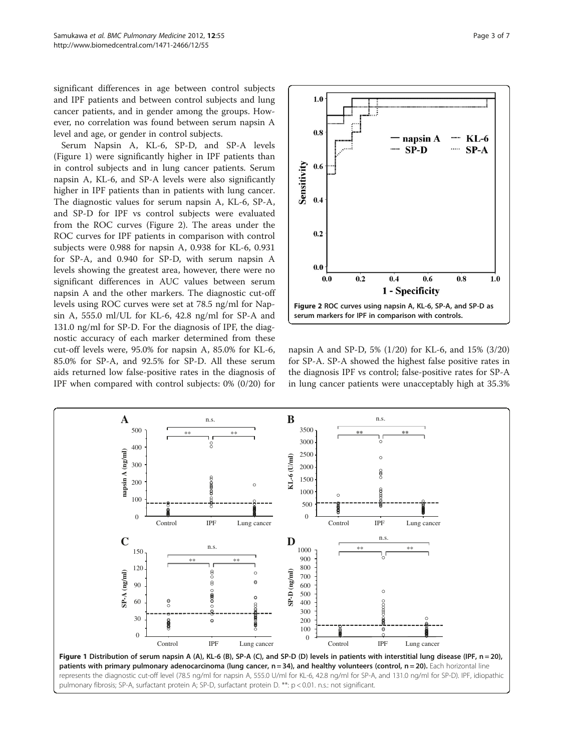<span id="page-2-0"></span>significant differences in age between control subjects and IPF patients and between control subjects and lung cancer patients, and in gender among the groups. However, no correlation was found between serum napsin A level and age, or gender in control subjects.

Serum Napsin A, KL-6, SP-D, and SP-A levels (Figure 1) were significantly higher in IPF patients than in control subjects and in lung cancer patients. Serum napsin A, KL-6, and SP-A levels were also significantly higher in IPF patients than in patients with lung cancer. The diagnostic values for serum napsin A, KL-6, SP-A, and SP-D for IPF vs control subjects were evaluated from the ROC curves (Figure 2). The areas under the ROC curves for IPF patients in comparison with control subjects were 0.988 for napsin A, 0.938 for KL-6, 0.931 for SP-A, and 0.940 for SP-D, with serum napsin A levels showing the greatest area, however, there were no significant differences in AUC values between serum napsin A and the other markers. The diagnostic cut-off levels using ROC curves were set at 78.5 ng/ml for Napsin A, 555.0 ml/UL for KL-6, 42.8 ng/ml for SP-A and 131.0 ng/ml for SP-D. For the diagnosis of IPF, the diagnostic accuracy of each marker determined from these cut-off levels were, 95.0% for napsin A, 85.0% for KL-6, 85.0% for SP-A, and 92.5% for SP-D. All these serum aids returned low false-positive rates in the diagnosis of IPF when compared with control subjects: 0% (0/20) for



napsin A and SP-D, 5% (1/20) for KL-6, and 15% (3/20) for SP-A. SP-A showed the highest false positive rates in the diagnosis IPF vs control; false-positive rates for SP-A in lung cancer patients were unacceptably high at 35.3%

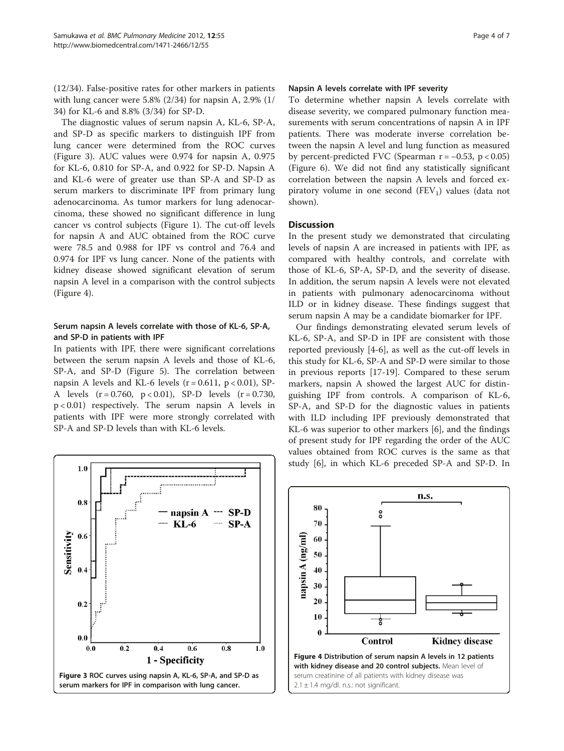(12/34). False-positive rates for other markers in patients with lung cancer were 5.8%  $(2/34)$  for napsin A, 2.9%  $(1/$ 34) for KL-6 and 8.8% (3/34) for SP-D.

The diagnostic values of serum napsin A, KL-6, SP-A, and SP-D as specific markers to distinguish IPF from lung cancer were determined from the ROC curves (Figure 3). AUC values were 0.974 for napsin A, 0.975 for KL-6, 0.810 for SP-A, and 0.922 for SP-D. Napsin A and KL-6 were of greater use than SP-A and SP-D as serum markers to discriminate IPF from primary lung adenocarcinoma. As tumor markers for lung adenocarcinoma, these showed no significant difference in lung cancer vs control subjects (Figure [1\)](#page-2-0). The cut-off levels for napsin A and AUC obtained from the ROC curve were 78.5 and 0.988 for IPF vs control and 76.4 and 0.974 for IPF vs lung cancer. None of the patients with kidney disease showed significant elevation of serum napsin A level in a comparison with the control subjects (Figure 4).

# Serum napsin A levels correlate with those of KL-6, SP-A, and SP-D in patients with IPF

In patients with IPF, there were significant correlations between the serum napsin A levels and those of KL-6, SP-A, and SP-D (Figure [5](#page-4-0)). The correlation between napsin A levels and KL-6 levels  $(r = 0.611, p < 0.01)$ , SP-A levels  $(r = 0.760, p < 0.01)$ , SP-D levels  $(r = 0.730,$ p < 0.01) respectively. The serum napsin A levels in patients with IPF were more strongly correlated with SP-A and SP-D levels than with KL-6 levels.



#### Napsin A levels correlate with IPF severity

To determine whether napsin A levels correlate with disease severity, we compared pulmonary function measurements with serum concentrations of napsin A in IPF patients. There was moderate inverse correlation between the napsin A level and lung function as measured by percent-predicted FVC (Spearman  $r = -0.53$ ,  $p < 0.05$ ) (Figure [6](#page-4-0)). We did not find any statistically significant correlation between the napsin A levels and forced expiratory volume in one second  $(FEV_1)$  values (data not shown).

#### **Discussion**

In the present study we demonstrated that circulating levels of napsin A are increased in patients with IPF, as compared with healthy controls, and correlate with those of KL-6, SP-A, SP-D, and the severity of disease. In addition, the serum napsin A levels were not elevated in patients with pulmonary adenocarcinoma without ILD or in kidney disease. These findings suggest that serum napsin A may be a candidate biomarker for IPF.

Our findings demonstrating elevated serum levels of KL-6, SP-A, and SP-D in IPF are consistent with those reported previously [[4](#page-5-0)-[6\]](#page-5-0), as well as the cut-off levels in this study for KL-6, SP-A and SP-D were similar to those in previous reports [[17-19\]](#page-6-0). Compared to these serum markers, napsin A showed the largest AUC for distinguishing IPF from controls. A comparison of KL-6, SP-A, and SP-D for the diagnostic values in patients with ILD including IPF previously demonstrated that KL-6 was superior to other markers [[6\]](#page-5-0), and the findings of present study for IPF regarding the order of the AUC values obtained from ROC curves is the same as that study [\[6](#page-5-0)], in which KL-6 preceded SP-A and SP-D. In

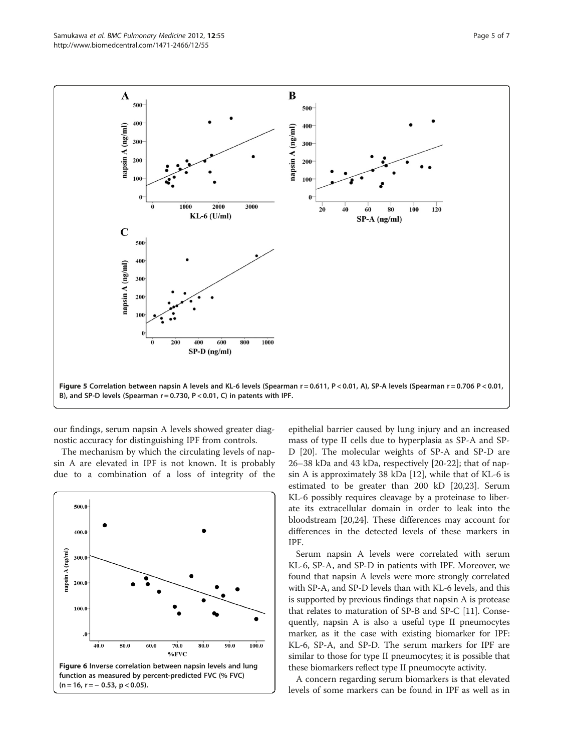<span id="page-4-0"></span>

our findings, serum napsin A levels showed greater diagnostic accuracy for distinguishing IPF from controls.

The mechanism by which the circulating levels of napsin A are elevated in IPF is not known. It is probably due to a combination of a loss of integrity of the



epithelial barrier caused by lung injury and an increased mass of type II cells due to hyperplasia as SP-A and SP-D [[20\]](#page-6-0). The molecular weights of SP-A and SP-D are 26–38 kDa and 43 kDa, respectively [[20-22\]](#page-6-0); that of napsin A is approximately 38 kDa [[12](#page-6-0)], while that of KL-6 is estimated to be greater than 200 kD [\[20,23\]](#page-6-0). Serum KL-6 possibly requires cleavage by a proteinase to liberate its extracellular domain in order to leak into the bloodstream [[20](#page-6-0),[24](#page-6-0)]. These differences may account for differences in the detected levels of these markers in IPF.

Serum napsin A levels were correlated with serum KL-6, SP-A, and SP-D in patients with IPF. Moreover, we found that napsin A levels were more strongly correlated with SP-A, and SP-D levels than with KL-6 levels, and this is supported by previous findings that napsin A is protease that relates to maturation of SP-B and SP-C [[11\]](#page-6-0). Consequently, napsin A is also a useful type II pneumocytes marker, as it the case with existing biomarker for IPF: KL-6, SP-A, and SP-D. The serum markers for IPF are similar to those for type II pneumocytes; it is possible that these biomarkers reflect type II pneumocyte activity.

A concern regarding serum biomarkers is that elevated levels of some markers can be found in IPF as well as in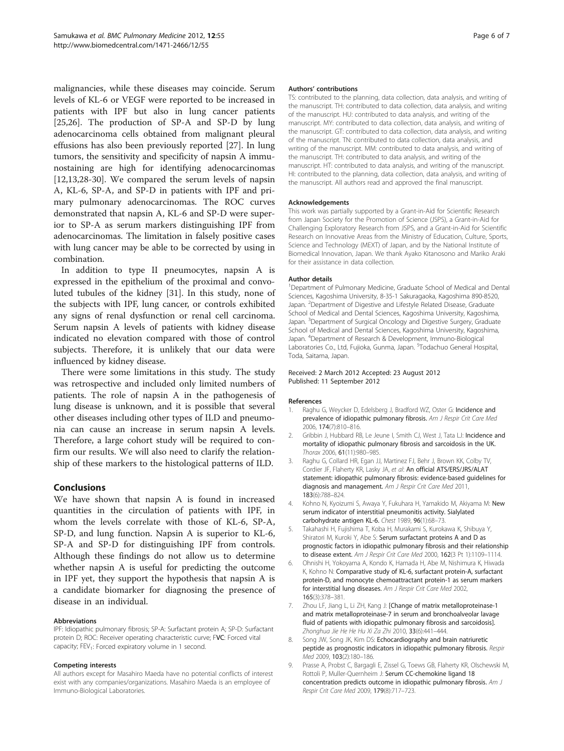<span id="page-5-0"></span>malignancies, while these diseases may coincide. Serum levels of KL-6 or VEGF were reported to be increased in patients with IPF but also in lung cancer patients [[25,26\]](#page-6-0). The production of SP-A and SP-D by lung adenocarcinoma cells obtained from malignant pleural effusions has also been previously reported [[27\]](#page-6-0). In lung tumors, the sensitivity and specificity of napsin A immunostaining are high for identifying adenocarcinomas [[12,13,28-30\]](#page-6-0). We compared the serum levels of napsin A, KL-6, SP-A, and SP-D in patients with IPF and primary pulmonary adenocarcinomas. The ROC curves demonstrated that napsin A, KL-6 and SP-D were superior to SP-A as serum markers distinguishing IPF from adenocarcinomas. The limitation in falsely positive cases with lung cancer may be able to be corrected by using in combination.

In addition to type II pneumocytes, napsin A is expressed in the epithelium of the proximal and convoluted tubules of the kidney [[31\]](#page-6-0). In this study, none of the subjects with IPF, lung cancer, or controls exhibited any signs of renal dysfunction or renal cell carcinoma. Serum napsin A levels of patients with kidney disease indicated no elevation compared with those of control subjects. Therefore, it is unlikely that our data were influenced by kidney disease.

There were some limitations in this study. The study was retrospective and included only limited numbers of patients. The role of napsin A in the pathogenesis of lung disease is unknown, and it is possible that several other diseases including other types of ILD and pneumonia can cause an increase in serum napsin A levels. Therefore, a large cohort study will be required to confirm our results. We will also need to clarify the relationship of these markers to the histological patterns of ILD.

# Conclusions

We have shown that napsin A is found in increased quantities in the circulation of patients with IPF, in whom the levels correlate with those of KL-6, SP-A, SP-D, and lung function. Napsin A is superior to KL-6, SP-A and SP-D for distinguishing IPF from controls. Although these findings do not allow us to determine whether napsin A is useful for predicting the outcome in IPF yet, they support the hypothesis that napsin A is a candidate biomarker for diagnosing the presence of disease in an individual.

#### Abbreviations

IPF: Idiopathic pulmonary fibrosis; SP-A: Surfactant protein A; SP-D: Surfactant protein D; ROC: Receiver operating characteristic curve; FVC: Forced vital capacity; FEV<sub>1</sub>: Forced expiratory volume in 1 second.

#### Competing interests

All authors except for Masahiro Maeda have no potential conflicts of interest exist with any companies/organizations. Masahiro Maeda is an employee of Immuno-Biological Laboratories.

#### Authors' contributions

TS: contributed to the planning, data collection, data analysis, and writing of the manuscript. TH: contributed to data collection, data analysis, and writing of the manuscript. HU: contributed to data analysis, and writing of the manuscript. MY: contributed to data collection, data analysis, and writing of the manuscript. GT: contributed to data collection, data analysis, and writing of the manuscript. TN: contributed to data collection, data analysis, and writing of the manuscript. MM: contributed to data analysis, and writing of the manuscript. TH: contributed to data analysis, and writing of the manuscript. HT: contributed to data analysis, and writing of the manuscript. HI: contributed to the planning, data collection, data analysis, and writing of the manuscript. All authors read and approved the final manuscript.

#### Acknowledgements

This work was partially supported by a Grant-in-Aid for Scientific Research from Japan Society for the Promotion of Science (JSPS), a Grant-in-Aid for Challenging Exploratory Research from JSPS, and a Grant-in-Aid for Scientific Research on Innovative Areas from the Ministry of Education, Culture, Sports, Science and Technology (MEXT) of Japan, and by the National Institute of Biomedical Innovation, Japan. We thank Ayako Kitanosono and Mariko Araki for their assistance in data collection.

#### Author details

<sup>1</sup>Department of Pulmonary Medicine, Graduate School of Medical and Dental Sciences, Kagoshima University, 8-35-1 Sakuragaoka, Kagoshima 890-8520, Japan. <sup>2</sup> Department of Digestive and Lifestyle Related Disease, Graduate School of Medical and Dental Sciences, Kagoshima University, Kagoshima, Japan. <sup>3</sup> Department of Surgical Oncology and Digestive Surgery, Graduate School of Medical and Dental Sciences, Kagoshima University, Kagoshima, Japan. <sup>4</sup> Department of Research & Development, Immuno-Biological Laboratories Co., Ltd, Fujioka, Gunma, Japan. <sup>5</sup>Todachuo General Hospital Toda, Saitama, Japan.

#### Received: 2 March 2012 Accepted: 23 August 2012 Published: 11 September 2012

#### References

- Raghu G, Weycker D, Edelsberg J, Bradford WZ, Oster G: Incidence and prevalence of idiopathic pulmonary fibrosis. Am J Respir Crit Care Med 2006, 174(7):810–816.
- 2. Gribbin J, Hubbard RB, Le Jeune I, Smith CJ, West J, Tata LJ: Incidence and mortality of idiopathic pulmonary fibrosis and sarcoidosis in the UK. Thorax 2006, 61(11):980–985.
- 3. Raghu G, Collard HR, Egan JJ, Martinez FJ, Behr J, Brown KK, Colby TV, Cordier JF, Flaherty KR, Lasky JA, et al: An official ATS/ERS/JRS/ALAT statement: idiopathic pulmonary fibrosis: evidence-based guidelines for diagnosis and management. Am J Respir Crit Care Med 2011, 183(6):788–824.
- Kohno N, Kyoizumi S, Awaya Y, Fukuhara H, Yamakido M, Akiyama M: New serum indicator of interstitial pneumonitis activity. Sialylated carbohydrate antigen KL-6. Chest 1989, 96(1):68–73.
- 5. Takahashi H, Fujishima T, Koba H, Murakami S, Kurokawa K, Shibuya Y, Shiratori M, Kuroki Y, Abe S: Serum surfactant proteins A and D as prognostic factors in idiopathic pulmonary fibrosis and their relationship to disease extent. Am J Respir Crit Care Med 2000, 162(3 Pt 1):1109-1114.
- 6. Ohnishi H, Yokoyama A, Kondo K, Hamada H, Abe M, Nishimura K, Hiwada K, Kohno N: Comparative study of KL-6, surfactant protein-A, surfactant protein-D, and monocyte chemoattractant protein-1 as serum markers for interstitial lung diseases. Am J Respir Crit Care Med 2002, 165(3):378–381.
- 7. Zhou LF, Jiang L, Li ZH, Kang J: [Change of matrix metalloproteinase-1 and matrix metalloproteinase-7 in serum and bronchoalveolar lavage fluid of patients with idiopathic pulmonary fibrosis and sarcoidosis]. Zhonghua Jie He He Hu Xi Za Zhi 2010, 33(6):441–444.
- 8. Song JW, Song JK, Kim DS: Echocardiography and brain natriuretic peptide as prognostic indicators in idiopathic pulmonary fibrosis. Respir Med 2009, 103(2):180–186.
- 9. Prasse A, Probst C, Bargagli E, Zissel G, Toews GB, Flaherty KR, Olschewski M, Rottoli P, Muller-Quernheim J: Serum CC-chemokine ligand 18 concentration predicts outcome in idiopathic pulmonary fibrosis. Am J Respir Crit Care Med 2009, 179(8):717–723.